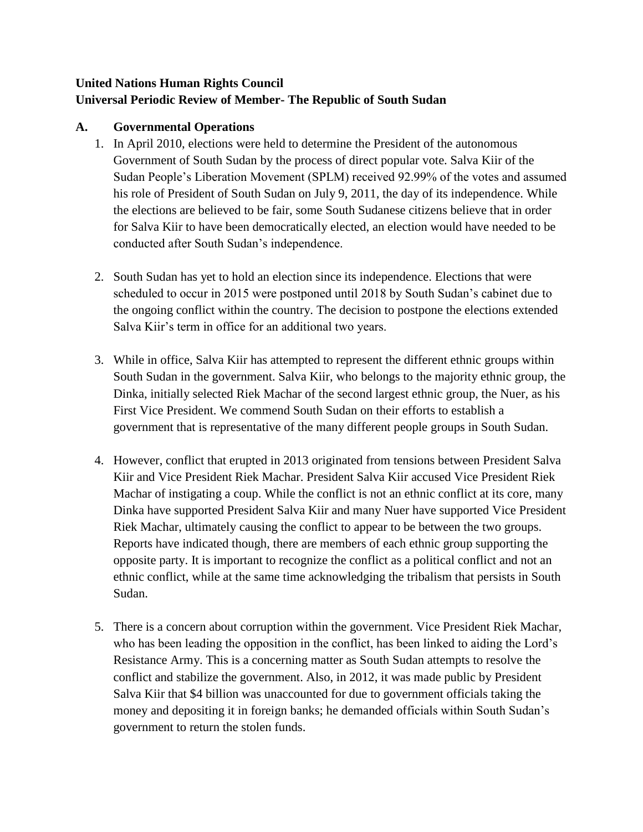# **United Nations Human Rights Council Universal Periodic Review of Member- The Republic of South Sudan**

### **A. Governmental Operations**

- 1. In April 2010, elections were held to determine the President of the autonomous Government of South Sudan by the process of direct popular vote. Salva Kiir of the Sudan People's Liberation Movement (SPLM) received 92.99% of the votes and assumed his role of President of South Sudan on July 9, 2011, the day of its independence. While the elections are believed to be fair, some South Sudanese citizens believe that in order for Salva Kiir to have been democratically elected, an election would have needed to be conducted after South Sudan's independence.
- 2. South Sudan has yet to hold an election since its independence. Elections that were scheduled to occur in 2015 were postponed until 2018 by South Sudan's cabinet due to the ongoing conflict within the country. The decision to postpone the elections extended Salva Kiir's term in office for an additional two years.
- 3. While in office, Salva Kiir has attempted to represent the different ethnic groups within South Sudan in the government. Salva Kiir, who belongs to the majority ethnic group, the Dinka, initially selected Riek Machar of the second largest ethnic group, the Nuer, as his First Vice President. We commend South Sudan on their efforts to establish a government that is representative of the many different people groups in South Sudan.
- 4. However, conflict that erupted in 2013 originated from tensions between President Salva Kiir and Vice President Riek Machar. President Salva Kiir accused Vice President Riek Machar of instigating a coup. While the conflict is not an ethnic conflict at its core, many Dinka have supported President Salva Kiir and many Nuer have supported Vice President Riek Machar, ultimately causing the conflict to appear to be between the two groups. Reports have indicated though, there are members of each ethnic group supporting the opposite party. It is important to recognize the conflict as a political conflict and not an ethnic conflict, while at the same time acknowledging the tribalism that persists in South Sudan.
- 5. There is a concern about corruption within the government. Vice President Riek Machar, who has been leading the opposition in the conflict, has been linked to aiding the Lord's Resistance Army. This is a concerning matter as South Sudan attempts to resolve the conflict and stabilize the government. Also, in 2012, it was made public by President Salva Kiir that \$4 billion was unaccounted for due to government officials taking the money and depositing it in foreign banks; he demanded officials within South Sudan's government to return the stolen funds.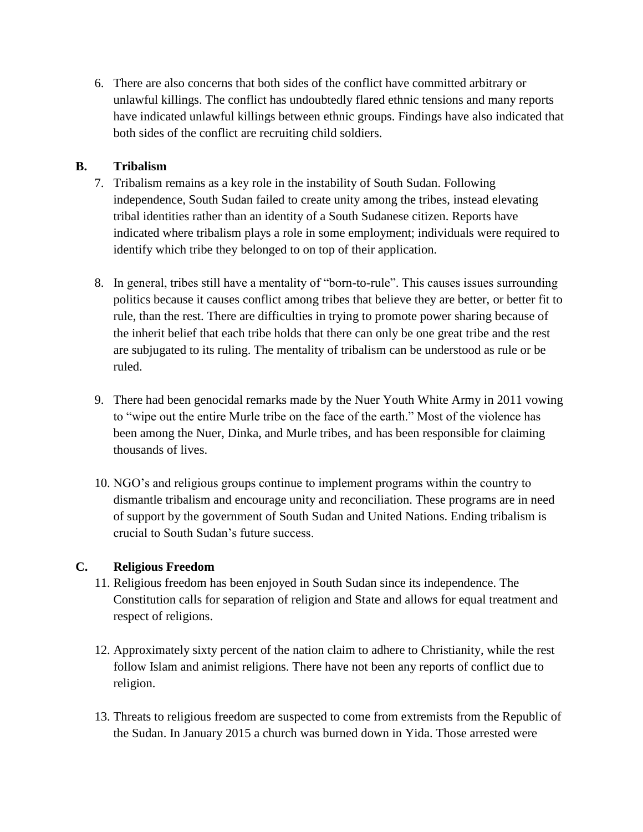6. There are also concerns that both sides of the conflict have committed arbitrary or unlawful killings. The conflict has undoubtedly flared ethnic tensions and many reports have indicated unlawful killings between ethnic groups. Findings have also indicated that both sides of the conflict are recruiting child soldiers.

### **B. Tribalism**

- 7. Tribalism remains as a key role in the instability of South Sudan. Following independence, South Sudan failed to create unity among the tribes, instead elevating tribal identities rather than an identity of a South Sudanese citizen. Reports have indicated where tribalism plays a role in some employment; individuals were required to identify which tribe they belonged to on top of their application.
- 8. In general, tribes still have a mentality of "born-to-rule". This causes issues surrounding politics because it causes conflict among tribes that believe they are better, or better fit to rule, than the rest. There are difficulties in trying to promote power sharing because of the inherit belief that each tribe holds that there can only be one great tribe and the rest are subjugated to its ruling. The mentality of tribalism can be understood as rule or be ruled.
- 9. There had been genocidal remarks made by the Nuer Youth White Army in 2011 vowing to "wipe out the entire Murle tribe on the face of the earth." Most of the violence has been among the Nuer, Dinka, and Murle tribes, and has been responsible for claiming thousands of lives.
- 10. NGO's and religious groups continue to implement programs within the country to dismantle tribalism and encourage unity and reconciliation. These programs are in need of support by the government of South Sudan and United Nations. Ending tribalism is crucial to South Sudan's future success.

# **C. Religious Freedom**

- 11. Religious freedom has been enjoyed in South Sudan since its independence. The Constitution calls for separation of religion and State and allows for equal treatment and respect of religions.
- 12. Approximately sixty percent of the nation claim to adhere to Christianity, while the rest follow Islam and animist religions. There have not been any reports of conflict due to religion.
- 13. Threats to religious freedom are suspected to come from extremists from the Republic of the Sudan. In January 2015 a church was burned down in Yida. Those arrested were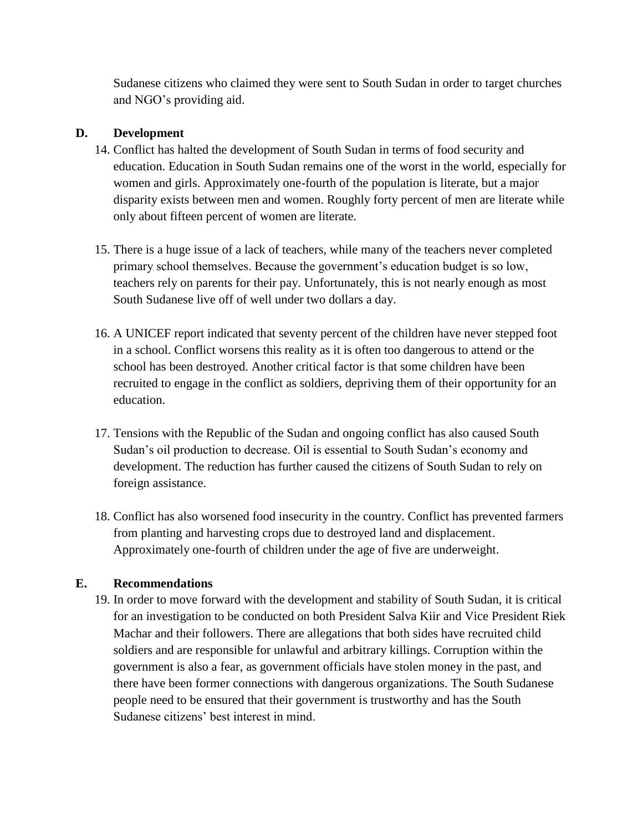Sudanese citizens who claimed they were sent to South Sudan in order to target churches and NGO's providing aid.

#### **D. Development**

- 14. Conflict has halted the development of South Sudan in terms of food security and education. Education in South Sudan remains one of the worst in the world, especially for women and girls. Approximately one-fourth of the population is literate, but a major disparity exists between men and women. Roughly forty percent of men are literate while only about fifteen percent of women are literate.
- 15. There is a huge issue of a lack of teachers, while many of the teachers never completed primary school themselves. Because the government's education budget is so low, teachers rely on parents for their pay. Unfortunately, this is not nearly enough as most South Sudanese live off of well under two dollars a day.
- 16. A UNICEF report indicated that seventy percent of the children have never stepped foot in a school. Conflict worsens this reality as it is often too dangerous to attend or the school has been destroyed. Another critical factor is that some children have been recruited to engage in the conflict as soldiers, depriving them of their opportunity for an education.
- 17. Tensions with the Republic of the Sudan and ongoing conflict has also caused South Sudan's oil production to decrease. Oil is essential to South Sudan's economy and development. The reduction has further caused the citizens of South Sudan to rely on foreign assistance.
- 18. Conflict has also worsened food insecurity in the country. Conflict has prevented farmers from planting and harvesting crops due to destroyed land and displacement. Approximately one-fourth of children under the age of five are underweight.

#### **E. Recommendations**

19. In order to move forward with the development and stability of South Sudan, it is critical for an investigation to be conducted on both President Salva Kiir and Vice President Riek Machar and their followers. There are allegations that both sides have recruited child soldiers and are responsible for unlawful and arbitrary killings. Corruption within the government is also a fear, as government officials have stolen money in the past, and there have been former connections with dangerous organizations. The South Sudanese people need to be ensured that their government is trustworthy and has the South Sudanese citizens' best interest in mind.